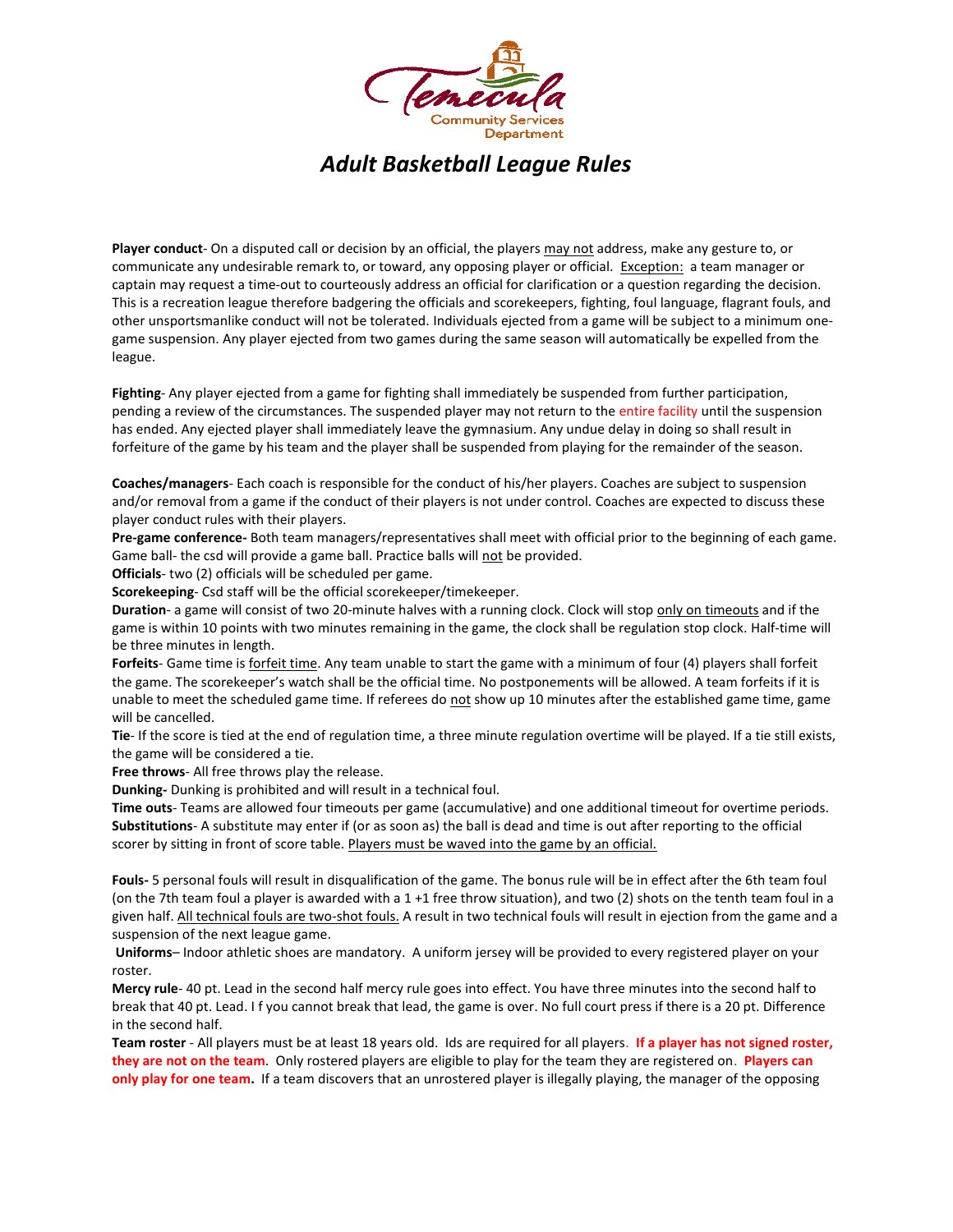

*Adult Basketball League Rules*

**Player conduct**- On a disputed call or decision by an official, the players may not address, make any gesture to, or communicate any undesirable remark to, or toward, any opposing player or official. Exception: a team manager or captain may request a time-out to courteously address an official for clarification or a question regarding the decision. This is a recreation league therefore badgering the officials and scorekeepers, fighting, foul language, flagrant fouls, and other unsportsmanlike conduct will not be tolerated. Individuals ejected from a game will be subject to a minimum onegame suspension. Any player ejected from two games during the same season will automatically be expelled from the league.

**Fighting**- Any player ejected from a game for fighting shall immediately be suspended from further participation, pending a review of the circumstances. The suspended player may not return to the entire facility until the suspension has ended. Any ejected player shall immediately leave the gymnasium. Any undue delay in doing so shall result in forfeiture of the game by his team and the player shall be suspended from playing for the remainder of the season.

**Coaches/managers**- Each coach is responsible for the conduct of his/her players. Coaches are subject to suspension and/or removal from a game if the conduct of their players is not under control. Coaches are expected to discuss these player conduct rules with their players.

**Pre-game conference-** Both team managers/representatives shall meet with official prior to the beginning of each game. Game ball- the csd will provide a game ball. Practice balls will not be provided.

**Officials**- two (2) officials will be scheduled per game.

**Scorekeeping**- Csd staff will be the official scorekeeper/timekeeper.

**Duration**- a game will consist of two 20-minute halves with a running clock. Clock will stop only on timeouts and if the game is within 10 points with two minutes remaining in the game, the clock shall be regulation stop clock. Half-time will be three minutes in length.

**Forfeits**- Game time is forfeit time. Any team unable to start the game with a minimum of four (4) players shall forfeit the game. The scorekeeper's watch shall be the official time. No postponements will be allowed. A team forfeits if it is unable to meet the scheduled game time. If referees do not show up 10 minutes after the established game time, game will be cancelled.

**Tie**- If the score is tied at the end of regulation time, a three minute regulation overtime will be played. If a tie still exists, the game will be considered a tie.

**Free throws**- All free throws play the release.

**Dunking-** Dunking is prohibited and will result in a technical foul.

**Time outs**- Teams are allowed four timeouts per game (accumulative) and one additional timeout for overtime periods. **Substitutions**- A substitute may enter if (or as soon as) the ball is dead and time is out after reporting to the official scorer by sitting in front of score table. Players must be waved into the game by an official.

**Fouls-** 5 personal fouls will result in disqualification of the game. The bonus rule will be in effect after the 6th team foul (on the 7th team foul a player is awarded with a 1 +1 free throw situation), and two (2) shots on the tenth team foul in a given half. All technical fouls are two-shot fouls. A result in two technical fouls will result in ejection from the game and a suspension of the next league game.

**Uniforms**– Indoor athletic shoes are mandatory. A uniform jersey will be provided to every registered player on your roster.

**Mercy rule**- 40 pt. Lead in the second half mercy rule goes into effect. You have three minutes into the second half to break that 40 pt. Lead. I f you cannot break that lead, the game is over. No full court press if there is a 20 pt. Difference in the second half.

**Team roster** - All players must be at least 18 years old. Ids are required for all players. **If a player has not signed roster, they are not on the team**. Only rostered players are eligible to play for the team they are registered on. **Players can only play for one team.** If a team discovers that an unrostered player is illegally playing, the manager of the opposing